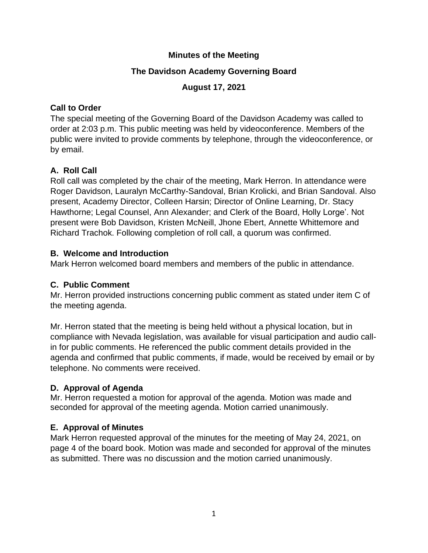#### **Minutes of the Meeting**

### **The Davidson Academy Governing Board**

### **August 17, 2021**

#### **Call to Order**

The special meeting of the Governing Board of the Davidson Academy was called to order at 2:03 p.m. This public meeting was held by videoconference. Members of the public were invited to provide comments by telephone, through the videoconference, or by email.

# **A. Roll Call**

Roll call was completed by the chair of the meeting, Mark Herron. In attendance were Roger Davidson, Lauralyn McCarthy-Sandoval, Brian Krolicki, and Brian Sandoval. Also present, Academy Director, Colleen Harsin; Director of Online Learning, Dr. Stacy Hawthorne; Legal Counsel, Ann Alexander; and Clerk of the Board, Holly Lorge'. Not present were Bob Davidson, Kristen McNeill, Jhone Ebert, Annette Whittemore and Richard Trachok. Following completion of roll call, a quorum was confirmed.

#### **B. Welcome and Introduction**

Mark Herron welcomed board members and members of the public in attendance.

## **C. Public Comment**

Mr. Herron provided instructions concerning public comment as stated under item C of the meeting agenda.

Mr. Herron stated that the meeting is being held without a physical location, but in compliance with Nevada legislation, was available for visual participation and audio callin for public comments. He referenced the public comment details provided in the agenda and confirmed that public comments, if made, would be received by email or by telephone. No comments were received.

## **D. Approval of Agenda**

Mr. Herron requested a motion for approval of the agenda. Motion was made and seconded for approval of the meeting agenda. Motion carried unanimously.

## **E. Approval of Minutes**

Mark Herron requested approval of the minutes for the meeting of May 24, 2021, on page 4 of the board book. Motion was made and seconded for approval of the minutes as submitted. There was no discussion and the motion carried unanimously.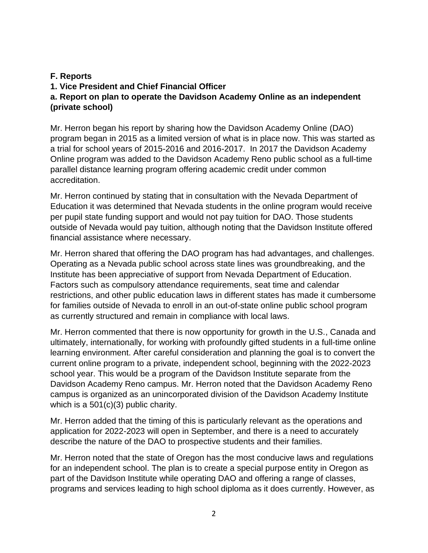#### **F. Reports**

# **1. Vice President and Chief Financial Officer a. Report on plan to operate the Davidson Academy Online as an independent (private school)**

Mr. Herron began his report by sharing how the Davidson Academy Online (DAO) program began in 2015 as a limited version of what is in place now. This was started as a trial for school years of 2015-2016 and 2016-2017. In 2017 the Davidson Academy Online program was added to the Davidson Academy Reno public school as a full-time parallel distance learning program offering academic credit under common accreditation.

Mr. Herron continued by stating that in consultation with the Nevada Department of Education it was determined that Nevada students in the online program would receive per pupil state funding support and would not pay tuition for DAO. Those students outside of Nevada would pay tuition, although noting that the Davidson Institute offered financial assistance where necessary.

Mr. Herron shared that offering the DAO program has had advantages, and challenges. Operating as a Nevada public school across state lines was groundbreaking, and the Institute has been appreciative of support from Nevada Department of Education. Factors such as compulsory attendance requirements, seat time and calendar restrictions, and other public education laws in different states has made it cumbersome for families outside of Nevada to enroll in an out-of-state online public school program as currently structured and remain in compliance with local laws.

Mr. Herron commented that there is now opportunity for growth in the U.S., Canada and ultimately, internationally, for working with profoundly gifted students in a full-time online learning environment. After careful consideration and planning the goal is to convert the current online program to a private, independent school, beginning with the 2022-2023 school year. This would be a program of the Davidson Institute separate from the Davidson Academy Reno campus. Mr. Herron noted that the Davidson Academy Reno campus is organized as an unincorporated division of the Davidson Academy Institute which is a 501(c)(3) public charity.

Mr. Herron added that the timing of this is particularly relevant as the operations and application for 2022-2023 will open in September, and there is a need to accurately describe the nature of the DAO to prospective students and their families.

Mr. Herron noted that the state of Oregon has the most conducive laws and regulations for an independent school. The plan is to create a special purpose entity in Oregon as part of the Davidson Institute while operating DAO and offering a range of classes, programs and services leading to high school diploma as it does currently. However, as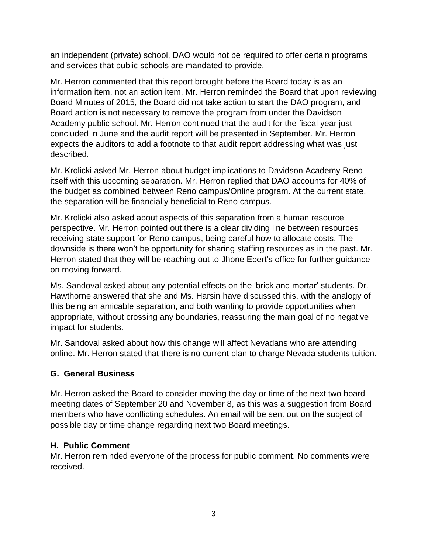an independent (private) school, DAO would not be required to offer certain programs and services that public schools are mandated to provide.

Mr. Herron commented that this report brought before the Board today is as an information item, not an action item. Mr. Herron reminded the Board that upon reviewing Board Minutes of 2015, the Board did not take action to start the DAO program, and Board action is not necessary to remove the program from under the Davidson Academy public school. Mr. Herron continued that the audit for the fiscal year just concluded in June and the audit report will be presented in September. Mr. Herron expects the auditors to add a footnote to that audit report addressing what was just described.

Mr. Krolicki asked Mr. Herron about budget implications to Davidson Academy Reno itself with this upcoming separation. Mr. Herron replied that DAO accounts for 40% of the budget as combined between Reno campus/Online program. At the current state, the separation will be financially beneficial to Reno campus.

Mr. Krolicki also asked about aspects of this separation from a human resource perspective. Mr. Herron pointed out there is a clear dividing line between resources receiving state support for Reno campus, being careful how to allocate costs. The downside is there won't be opportunity for sharing staffing resources as in the past. Mr. Herron stated that they will be reaching out to Jhone Ebert's office for further guidance on moving forward.

Ms. Sandoval asked about any potential effects on the 'brick and mortar' students. Dr. Hawthorne answered that she and Ms. Harsin have discussed this, with the analogy of this being an amicable separation, and both wanting to provide opportunities when appropriate, without crossing any boundaries, reassuring the main goal of no negative impact for students.

Mr. Sandoval asked about how this change will affect Nevadans who are attending online. Mr. Herron stated that there is no current plan to charge Nevada students tuition.

## **G. General Business**

Mr. Herron asked the Board to consider moving the day or time of the next two board meeting dates of September 20 and November 8, as this was a suggestion from Board members who have conflicting schedules. An email will be sent out on the subject of possible day or time change regarding next two Board meetings.

#### **H. Public Comment**

Mr. Herron reminded everyone of the process for public comment. No comments were received.